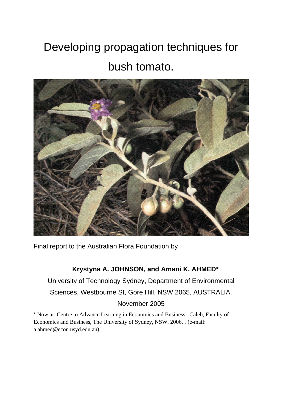# Developing propagation techniques for bush tomato.



Final report to the Australian Flora Foundation by

# **Krystyna A. JOHNSON, and Amani K. AHMED\***

University of Technology Sydney, Department of Environmental Sciences, Westbourne St, Gore Hill, NSW 2065, AUSTRALIA. November 2005

\* Now at: Centre to Advance Learning in Economics and Business –Caleb, Faculty of Economics and Business, The University of Sydney, NSW, 2006. , (e-mail: a.ahmed@econ.usyd.edu.au)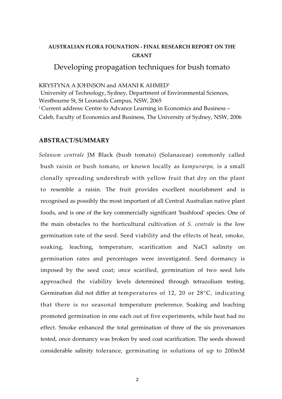### **AUSTRALIAN FLORA FOUNATION ‐ FINAL RESEARCH REPORT ON THE GRANT**

## Developing propagation techniques for bush tomato

KRYSTYNA A JOHNSON and AMANI K AHMED1

University of Technology, Sydney, Department of Environmental Sciences, Westbourne St, St Leonards Campus, NSW, 2065 <sup>1</sup> Current address: Centre to Advance Learning in Economics and Business – Caleb, Faculty of Economics and Business, The University of Sydney, NSW, 2006

#### **ABSTRACT/SUMMARY**

*Solanum centrale* JM Black (bush tomato) (Solanaceae) commonly called bush raisin or bush tomato, or known locally as *kampurarpa,* is a small clonally spreading undershrub with yellow fruit that dry on the plant to resemble a raisin. The fruit provides excellent nourishment and is recognised as possibly the most important of all Central Australian native plant foods, and is one of the key commercially significant ʹbushfoodʹ species. One of the main obstacles to the horticultural cultivation of *S. centrale* is the low germination rate of the seed. Seed viability and the effects of heat, smoke, soaking, leaching, temperature, scarification and NaCI salinity on germination rates and percentages were investigated. Seed dormancy is imposed by the seed coat; once scarified, germination of two seed lots approached the viability levels determined through tetrazolium testing. Germination did not differ at temperatures of 12, 20 or 28°C, indicating that there is no seasonal temperature preference. Soaking and leaching promoted germination in one each out of five experiments, while heat had no effect. Smoke enhanced the total germination of three of the six provenances tested, once dormancy was broken by seed coat scarification. The seeds showed considerable salinity tolerance, germinating in solutions of up to 200mM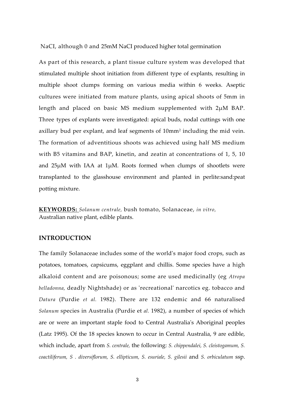NaCI, although 0 and 25mM NaCI produced higher total germination

As part of this research, a plant tissue culture system was developed that stimulated multiple shoot initiation from different type of explants, resulting in multiple shoot clumps forming on various media within 6 weeks. Aseptic cultures were initiated from mature plants, using apical shoots of 5mm in length and placed on basic MS medium supplemented with 2μM BAP. Three types of explants were investigated: apical buds, nodal cuttings with one axillary bud per explant, and leaf segments of 10mm2 including the mid vein. The formation of adventitious shoots was achieved using half MS medium with B5 vitamins and BAP, kinetin, and zeatin at concentrations of 1, 5, 10 and 25μM with IAA at 1μM. Roots formed when clumps of shootlets were transplanted to the glasshouse environment and planted in perlite:sand:peat potting mixture.

**KEYWORDS:** *Solanum centrale,* bush tomato, Solanaceae, *in vitro,* Australian native plant, edible plants.

#### **INTRODUCTION**

The family Solanaceae includes some of the worldʹs major food crops, such as potatoes, tomatoes, capsicums, eggplant and chillis. Some species have a high alkaloid content and are poisonous; some are used medicinally (eg *Atropa belladonna,* deadly Nightshade) or as ʹrecreationalʹ narcotics eg. tobacco and *Datura* (Purdie *et al.* 1982). There are 132 endemic and 66 naturalised *Solanum* species in Australia (Purdie et *al.* 1982), a number of species of which are or were an important staple food to Central Australiaʹs Aboriginal peoples (Latz 1995). Of the 18 species known to occur in Central Australia, 9 are edible, which include, apart from *S. centrale,* the following: *S. chippendalei, S. cleistogamum, S. coactiliferum, S . diversiflorum, S. ellipticum, S. esuriale, S. gilesii* and *S. orbiculatum* ssp.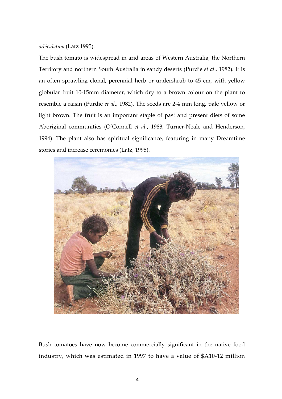#### *orbiculatum* (Latz 1995).

The bush tomato is widespread in arid areas of Western Australia, the Northern Territory and northern South Australia in sandy deserts (Purdie *et al*., 1982). It is an often sprawling clonal, perennial herb or undershrub to 45 cm, with yellow globular fruit 10‐15mm diameter, which dry to a brown colour on the plant to resemble a raisin (Purdie *et al*., 1982). The seeds are 2‐4 mm long, pale yellow or light brown. The fruit is an important staple of past and present diets of some Aboriginal communities (O'Connell *et al.*, 1983, Turner‐Neale and Henderson, 1994). The plant also has spiritual significance, featuring in many Dreamtime stories and increase ceremonies (Latz, 1995).



Bush tomatoes have now become commercially significant in the native food industry, which was estimated in 1997 to have a value of \$A10‐12 million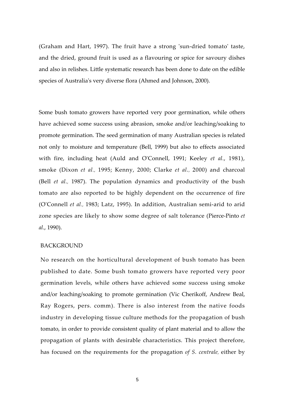(Graham and Hart, 1997). The fruit have a strong 'sun-dried tomato' taste, and the dried, ground fruit is used as a flavouring or spice for savoury dishes and also in relishes. Little systematic research has been done to date on the edible species of Australia's very diverse flora (Ahmed and Johnson, 2000).

Some bush tomato growers have reported very poor germination, while others have achieved some success using abrasion, smoke and/or leaching/soaking to promote germination. The seed germination of many Australian species is related not only to moisture and temperature (Bell, 1999) but also to effects associated with fire, including heat (Auld and OʹConnell, 1991; Keeley *et al.*, 1981), smoke (Dixon *et al.,* 1995; Kenny, 2000; Clarke *et al.,* 2000) and charcoal (Bell *et al.,* 1987). The population dynamics and productivity of the bush tomato are also reported to be highly dependent on the occurrence of fire (OʹConnell *et al.,* 1983; Latz, 1995). In addition, Australian semi‐arid to arid zone species are likely to show some degree of salt tolerance (Pierce‐Pinto *et al*., 1990).

#### BACKGROUND

No research on the horticultural development of bush tomato has been published to date. Some bush tomato growers have reported very poor germination levels, while others have achieved some success using smoke and/or leaching/soaking to promote germination (Vic Cherikoff, Andrew Beal, Ray Rogers, pers. comm). There is also interest from the native foods industry in developing tissue culture methods for the propagation of bush tomato, in order to provide consistent quality of plant material and to allow the propagation of plants with desirable characteristics. This project therefore, has focused on the requirements for the propagation *of S. centrale,* either by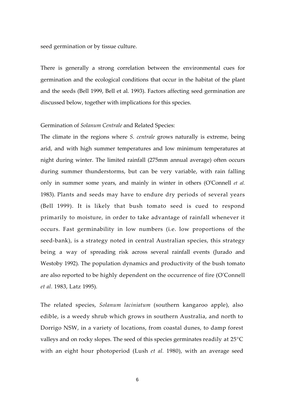seed germination or by tissue culture.

There is generally a strong correlation between the environmental cues for germination and the ecological conditions that occur in the habitat of the plant and the seeds (Bell 1999, Bell et al. 1993). Factors affecting seed germination are discussed below, together with implications for this species.

#### Germination of *Solanum Centrale* and Related Species:

The climate in the regions where *S. centrale* grows naturally is extreme, being arid, and with high summer temperatures and low minimum temperatures at night during winter. The limited rainfall (275mm annual average) often occurs during summer thunderstorms, but can be very variable, with rain falling only in summer some years, and mainly in winter in others (OʹConnell *et al.* 1983). Plants and seeds may have to endure dry periods of several years (Bell 1999). It is likely that bush tomato seed is cued to respond primarily to moisture, in order to take advantage of rainfall whenever it occurs. Fast germinability in low numbers (i.e. low proportions of the seed-bank), is a strategy noted in central Australian species, this strategy being a way of spreading risk across several rainfall events (Jurado and Westoby 1992). The population dynamics and productivity of the bush tomato are also reported to be highly dependent on the occurrence of fire (OʹConnell *et al.* 1983, Latz 1995).

The related species, *Solanum laciniatum* (southern kangaroo apple), also edible, is a weedy shrub which grows in southern Australia, and north to Dorrigo NSW, in a variety of locations, from coastal dunes, to damp forest valleys and on rocky slopes. The seed of this species germinates readily at 25°C with an eight hour photoperiod (Lush *et al.* 1980), with an average seed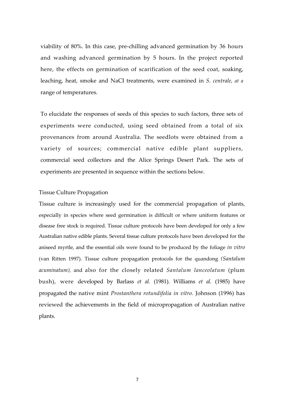viability of 80%. In this case, pre‐chilling advanced germination by 36 hours and washing advanced germination by 5 hours. In the project reported here, the effects on germination of scarification of the seed coat, soaking, leaching, heat, smoke and NaCI treatments, were examined in *S. centrale, at a* range of temperatures.

To elucidate the responses of seeds of this species to such factors, three sets of experiments were conducted, using seed obtained from a total of six provenances from around Australia. The seedlots were obtained from a variety of sources; commercial native edible plant suppliers, commercial seed collectors and the Alice Springs Desert Park. The sets of experiments are presented in sequence within the sections below.

#### Tissue Culture Propagation

Tissue culture is increasingly used for the commercial propagation of plants, especially in species where seed germination is difficult or where uniform features or disease free stock is required. Tissue culture protocols have been developed for only a few Australian native edible plants. Several tissue culture protocols have been developed for the aniseed myrtle, and the essential oils were found to be produced by the foliage *in vitro* (van Ritten 1997). Tissue culture propagation protocols for the quandong *(Santalum acuminatum),* and also for the closely related *Santalum lanceolatum* (plum bush), were developed by Barlass *et al.* (1981). Williams *et al.* (1985) have propagated the native mint *Prostanthera rotundifolia in vitro.* Johnson (1996) has reviewed the achievements in the field of micropropagation of Australian native plants.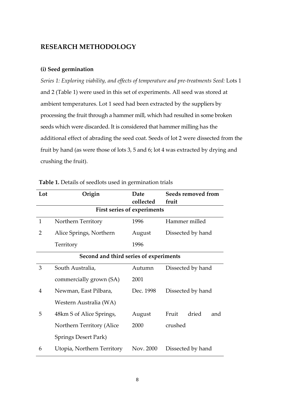## **RESEARCH METHODOLOGY**

#### **(i) Seed germination**

*Series 1: Exploring viability, and effects of temperature and pre‐treatments Seed:* Lots 1 and 2 (Table 1) were used in this set of experiments. All seed was stored at ambient temperatures. Lot 1 seed had been extracted by the suppliers by processing the fruit through a hammer mill, which had resulted in some broken seeds which were discarded. It is considered that hammer milling has the additional effect of abrading the seed coat. Seeds of lot 2 were dissected from the fruit by hand (as were those of lots 3, 5 and 6; lot 4 was extracted by drying and crushing the fruit).

| Lot                                    | Origin                     | Date<br>collected | Seeds removed from<br>fruit |  |  |  |  |  |  |  |
|----------------------------------------|----------------------------|-------------------|-----------------------------|--|--|--|--|--|--|--|
| First series of experiments            |                            |                   |                             |  |  |  |  |  |  |  |
| $\mathbf{1}$                           | Northern Territory         | 1996              | Hammer milled               |  |  |  |  |  |  |  |
| 2                                      | Alice Springs, Northern    | August            | Dissected by hand           |  |  |  |  |  |  |  |
|                                        | Territory                  | 1996              |                             |  |  |  |  |  |  |  |
| Second and third series of experiments |                            |                   |                             |  |  |  |  |  |  |  |
| 3                                      | South Australia,           | Autumn            | Dissected by hand           |  |  |  |  |  |  |  |
|                                        | commercially grown (SA)    | 2001              |                             |  |  |  |  |  |  |  |
| 4                                      | Newman, East Pilbara,      | Dec. 1998         | Dissected by hand           |  |  |  |  |  |  |  |
|                                        | Western Australia (WA)     |                   |                             |  |  |  |  |  |  |  |
| 5                                      | 48 km S of Alice Springs,  | August            | Fruit<br>dried<br>and       |  |  |  |  |  |  |  |
|                                        | Northern Territory (Alice  | 2000              | crushed                     |  |  |  |  |  |  |  |
|                                        | Springs Desert Park)       |                   |                             |  |  |  |  |  |  |  |
| 6                                      | Utopia, Northern Territory | Nov. 2000         | Dissected by hand           |  |  |  |  |  |  |  |

**Table 1.** Details of seedlots used in germination trials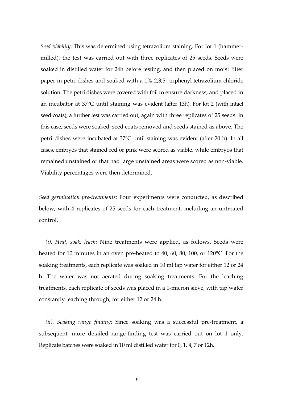*Seed viability*: This was determined using tetrazolium staining. For lot 1 (hammer‐ milled), the test was carried out with three replicates of 25 seeds. Seeds were soaked in distilled water for 24h before testing, and then placed on moist filter paper in petri dishes and soaked with a 1% 2,3,5‐ triphenyl tetrazolium chloride solution. The petri dishes were covered with foil to ensure darkness, and placed in an incubator at 37°C until staining was evident (after 13h). For lot 2 (with intact seed coats), a further test was carried out, again with three replicates of 25 seeds. In this case, seeds were soaked, seed coats removed and seeds stained as above. The petri dishes were incubated at 37°C until staining was evident (after 20 h). In all cases, embryos that stained red or pink were scored as viable, while embryos that remained unstained or that had large unstained areas were scored as non‐viable. Viability percentages were then determined.

*Seed germination pre‐treatments:* Four experiments were conducted, as described below, with 4 replicates of 25 seeds for each treatment, including an untreated control.

*(i). Heat, soak, leach:* Nine treatments were applied, as follows. Seeds were heated for 10 minutes in an oven pre-heated to 40, 60, 80, 100, or 120 °C. For the soaking treatments, each replicate was soaked in 10 ml tap water for either 12 or 24 h. The water was not aerated during soaking treatments. For the leaching treatments, each replicate of seeds was placed in a 1‐micron sieve, with tap water constantly leaching through, for either 12 or 24 h.

*(ii). Soaking range finding:* Since soaking was a successful pre‐treatment, a subsequent, more detailed range‐finding test was carried out on lot 1 only. Replicate batches were soaked in 10 ml distilled water for 0, 1, 4, 7 or 12h.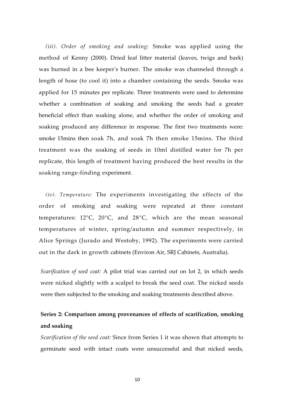*(iii). Order of smoking and soaking*: Smoke was applied using the method of Kenny (2000). Dried leaf litter material (leaves, twigs and bark) was burned in a bee keeperʹs burner. The smoke was channeled through a length of hose (to cool it) into a chamber containing the seeds. Smoke was applied for 15 minutes per replicate. Three treatments were used to determine whether a combination of soaking and smoking the seeds had a greater beneficial effect than soaking alone, and whether the order of smoking and soaking produced any difference in response. The first two treatments were: smoke 15mins then soak 7h, and soak 7h then smoke 15mins. The third treatment was the soaking of seeds in 10ml distilled water for 7h per replicate, this length of treatment having produced the best results in the soaking range‐finding experiment.

*(iv). Temperature:* The experiments investigating the effects of the order of smoking and soaking were repeated at three constant temperatures: 12°C, 20°C, and 28°C, which are the mean seasonal temperatures of winter, spring/autumn and summer respectively, in Alice Springs (Jurado and Westoby, 1992). The experiments were carried out in the dark in growth cabinets (Environ Air, SRJ Cabinets, Australia).

*Scarification of seed coat:* A pilot trial was carried out on lot 2, in which seeds were nicked slightly with a scalpel to break the seed coat. The nicked seeds were then subjected to the smoking and soaking treatments described above.

# **Series 2: Comparison among provenances of effects of scarification, smoking and soaking**

*Scarification of the seed coat:* Since from Series 1 it was shown that attempts to germinate seed with intact coats were unsuccessful and that nicked seeds,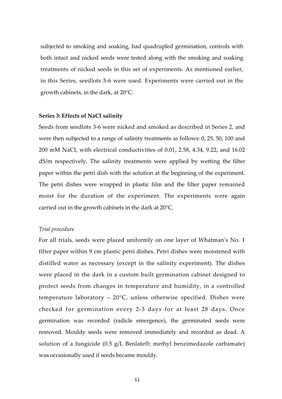subjected to smoking and soaking, had quadrupled germination, controls with both intact and nicked seeds were tested along with the smoking and soaking treatments of nicked seeds in this set of experiments. As mentioned earlier, in this Series, seedlots 3‐6 were used. Experiments were carried out in the growth cabinets, in the dark, at 20°C.

#### **Series 3: Effects of NaCI salinity**

Seeds from seedlots 3‐6 were nicked and smoked as described in Series 2, and were then subjected to a range of salinity treatments as follows: 0, 25, 50, 100 and 200 mM NaCI, with electrical conductivities of 0.01, 2.58, 4.34, 9.22, and 16.02 dS/m respectively. The salinity treatments were applied by wetting the filter paper within the petri dish with the solution at the beginning of the experiment. The petri dishes were wrapped in plastic film and the filter paper remained moist for the duration of the experiment. The experiments were again carried out in the growth cabinets in the dark at 20°C.

#### *Trial procedure*

For all trials, seeds were placed uniformly on one layer of Whatmanʹs No. 1 filter paper within 9 cm plastic petri dishes. Petri dishes were moistened with distilled water as necessary (except in the salinity experiment). The dishes were placed in the dark in a custom built germination cabinet designed to protect seeds from changes in temperature and humidity, in a controlled temperature laboratory –  $20^{\circ}$ C, unless otherwise specified. Dishes were checked for germination every 2-3 days for at least 28 days. Once germination was recorded (radicle emergence), the germinated seeds were removed. Mouldy seeds were removed immediately and recorded as dead. A solution of a fungicide (0.5 g/L Benlate®; methyl benzimedazole carbamate) was occasionally used if seeds became mouldy.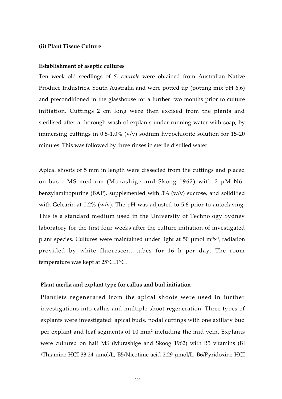#### **(ii) Plant Tissue Culture**

#### **Establishment of aseptic cultures**

Ten week old seedlings of *S. centrale* were obtained from Australian Native Produce Industries, South Australia and were potted up (potting mix pH 6.6) and preconditioned in the glasshouse for a further two months prior to culture initiation. Cuttings 2 cm long were then excised from the plants and sterilised after a thorough wash of explants under running water with soap, by immersing cuttings in 0.5-1.0% (v/v) sodium hypochlorite solution for 15-20 minutes. This was followed by three rinses in sterile distilled water.

Apical shoots of 5 mm in length were dissected from the cuttings and placed on basic MS medium (Murashige and Skoog 1962) with  $2 \mu M N6$ benzylaminopurine (BAP), supplemented with 3% (w/v) sucrose, and solidified with Gelcarin at 0.2% (w/v). The pH was adjusted to 5.6 prior to autoclaving. This is a standard medium used in the University of Technology Sydney laboratory for the first four weeks after the culture initiation of investigated plant species. Cultures were maintained under light at 50  $\mu$ mol m<sup>-2</sup>S<sup>-1</sup>, radiation provided by white fluorescent tubes for 16 h per day. The room temperature was kept at 25°C±1°C.

#### **Plant media and explant type for callus and bud initiation**

Plantlets regenerated from the apical shoots were used in further investigations into callus and multiple shoot regeneration. Three types of explants were investigated: apical buds, nodal cuttings with one axillary bud per explant and leaf segments of 10 mm2 including the mid vein. Explants were cultured on half MS (Murashige and Skoog 1962) with B5 vitamins (BI /Thiamine HCI 33.24 μmol/L, B5/Nicotinic acid 2.29 μmol/L, B6/Pyridoxine HCI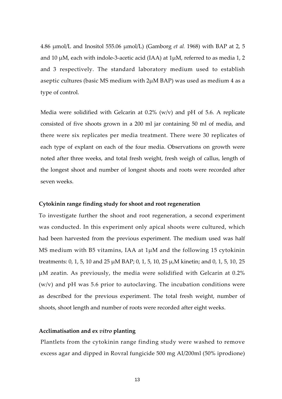4.86 μmol/L and Inositol 555.06 μmol/L) (Gamborg *et al.* 1968) with BAP at 2, 5 and 10  $\mu$ M, each with indole-3-acetic acid (IAA) at 1 $\mu$ M, referred to as media 1, 2 and 3 respectively. The standard laboratory medium used to establish aseptic cultures (basic MS medium with 2μM BAP) was used as medium 4 as a type of control.

Media were solidified with Gelcarin at  $0.2\%$  (w/v) and pH of 5.6. A replicate consisted of five shoots grown in a 200 ml jar containing 50 ml of media, and there were six replicates per media treatment. There were 30 replicates of each type of explant on each of the four media. Observations on growth were noted after three weeks, and total fresh weight, fresh weigh of callus, length of the longest shoot and number of longest shoots and roots were recorded after seven weeks.

#### **Cytokinin range finding study for shoot and root regeneration**

To investigate further the shoot and root regeneration, a second experiment was conducted. In this experiment only apical shoots were cultured, which had been harvested from the previous experiment. The medium used was half MS medium with B5 vitamins, IAA at 1μM and the following 15 cytokinin treatments: 0, 1, 5, 10 and 25 μM BAP; 0, 1, 5, 10, 25 μ,M kinetin; and 0, 1, 5, 10, 25 μM zeatin. As previously, the media were solidified with Gelcarin at 0.2% (w/v) and pH was 5.6 prior to autoclaving. The incubation conditions were as described for the previous experiment. The total fresh weight, number of shoots, shoot length and number of roots were recorded after eight weeks.

#### **Acclimatisation and ex** *vitro* **planting**

Plantlets from the cytokinin range finding study were washed to remove excess agar and dipped in Rovral fungicide 500 mg AI/200ml (50% iprodione)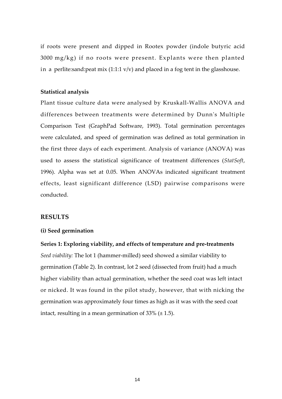if roots were present and dipped in Rootex powder (indole butyric acid  $3000 \text{ mg/kg}$ ) if no roots were present. Explants were then planted in a perlite: sand: peat mix  $(1:1:1 \text{ v/v})$  and placed in a fog tent in the glasshouse.

#### **Statistical analysis**

Plant tissue culture data were analysed by Kruskall‐Wallis ANOVA and differences between treatments were determined by Dunnʹs Multiple Comparison Test (GraphPad Software, 1993). Total germination percentages were calculated, and speed of germination was defined as total germination in the first three days of each experiment. Analysis of variance (ANOVA) was used to assess the statistical significance of treatment differences (*StatSoft*, 1996). Alpha was set at 0.05. When ANOVAs indicated significant treatment effects, least significant difference (LSD) pairwise comparisons were conducted.

#### **RESULTS**

#### **(i) Seed germination**

**Series 1: Exploring viability, and effects of temperature and pre‐treatments** *Seed viability:* The lot 1 (hammer‐milled) seed showed a similar viability to germination (Table 2). In contrast, lot 2 seed (dissected from fruit) had a much higher viability than actual germination, whether the seed coat was left intact or nicked. It was found in the pilot study, however, that with nicking the germination was approximately four times as high as it was with the seed coat intact, resulting in a mean germination of  $33\%$  ( $\pm$  1.5).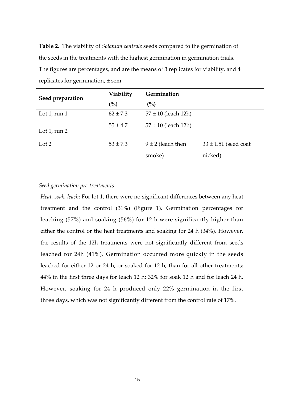**Table 2.** The viability of *Solanum centrale* seeds compared to the germination of the seeds in the treatments with the highest germination in germination trials. The figures are percentages, and are the means of 3 replicates for viability, and 4 replicates for germination,  $\pm$  sem

| Seed preparation | Viability    | Germination             |                          |  |  |
|------------------|--------------|-------------------------|--------------------------|--|--|
|                  | (%)          | (%)                     |                          |  |  |
| Lot 1, run $1$   | $62 \pm 7.3$ | $57 \pm 10$ (leach 12h) |                          |  |  |
| Lot 1, run $2$   | $55 \pm 4.7$ | $57 \pm 10$ (leach 12h) |                          |  |  |
| Lot 2            | $53 \pm 7.3$ | $9 \pm 2$ (leach then   | $33 \pm 1.51$ (seed coat |  |  |
|                  |              | smoke)                  | nicked)                  |  |  |

#### *Seed germination pre‐treatments*

*Heat, soak, leach*: For lot 1, there were no significant differences between any heat treatment and the control (31%) (Figure 1). Germination percentages for leaching (57%) and soaking (56%) for 12 h were significantly higher than either the control or the heat treatments and soaking for 24 h (34%). However, the results of the 12h treatments were not significantly different from seeds leached for 24h (41%). Germination occurred more quickly in the seeds leached for either 12 or 24 h, or soaked for 12 h, than for all other treatments: 44% in the first three days for leach 12 h; 32% for soak 12 h and for leach 24 h. However, soaking for 24 h produced only 22% germination in the first three days, which was not significantly different from the control rate of 17%.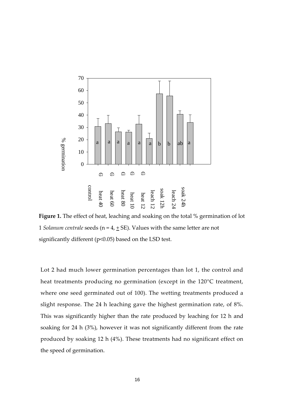

**Figure 1.** The effect of heat, leaching and soaking on the total % germination of lot 1 *Solanum centrale* seeds ( $n = 4, \pm$  SE). Values with the same letter are not significantly different (p<0.05) based on the LSD test.

Lot 2 had much lower germination percentages than lot 1, the control and heat treatments producing no germination (except in the 120°C treatment, where one seed germinated out of 100). The wetting treatments produced a slight response. The 24 h leaching gave the highest germination rate, of 8%. This was significantly higher than the rate produced by leaching for 12 h and soaking for 24 h (3%), however it was not significantly different from the rate produced by soaking 12 h (4%). These treatments had no significant effect on the speed of germination.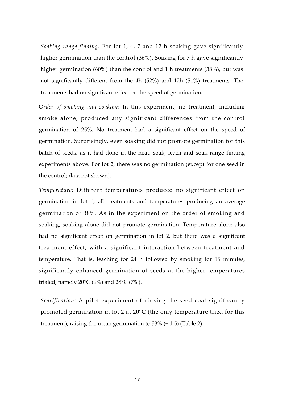*Soaking range finding:* For lot 1, 4, 7 and 12 h soaking gave significantly higher germination than the control (36%). Soaking for 7 h gave significantly higher germination (60%) than the control and 1 h treatments (38%), but was not significantly different from the 4h (52%) and 12h (51%) treatments. The treatments had no significant effect on the speed of germination.

O*rder of smoking and soaking*: In this experiment, no treatment, including smoke alone, produced any significant differences from the control germination of 25%. No treatment had a significant effect on the speed of germination. Surprisingly, even soaking did not promote germination for this batch of seeds, as it had done in the heat, soak, leach and soak range finding experiments above. For lot 2, there was no germination (except for one seed in the control; data not shown).

*Temperature:* Different temperatures produced no significant effect on germination in lot 1, all treatments and temperatures producing an average germination of 38%. As in the experiment on the order of smoking and soaking, soaking alone did not promote germination. Temperature alone also had no significant effect on germination in lot 2, but there was a significant treatment effect, with a significant interaction between treatment and temperature. That is, leaching for 24 h followed by smoking for 15 minutes, significantly enhanced germination of seeds at the higher temperatures trialed, namely  $20^{\circ}$ C (9%) and  $28^{\circ}$ C (7%).

*Scarification:* A pilot experiment of nicking the seed coat significantly promoted germination in lot 2 at 20°C (the only temperature tried for this treatment), raising the mean germination to  $33\%$  ( $\pm$  1.5) (Table 2).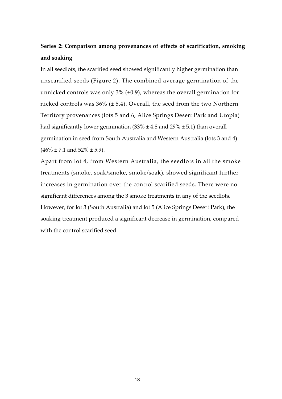# **Series 2: Comparison among provenances of effects of scarification, smoking and soaking**

In all seedlots, the scarified seed showed significantly higher germination than unscarified seeds (Figure 2). The combined average germination of the unnicked controls was only  $3\%$  ( $\pm 0.9$ ), whereas the overall germination for nicked controls was  $36\%$  ( $\pm$  5.4). Overall, the seed from the two Northern Territory provenances (lots 5 and 6, Alice Springs Desert Park and Utopia) had significantly lower germination  $(33\% \pm 4.8 \text{ and } 29\% \pm 5.1)$  than overall germination in seed from South Australia and Western Australia (lots 3 and 4)  $(46\% \pm 7.1 \text{ and } 52\% \pm 5.9).$ 

Apart from lot 4, from Western Australia, the seedlots in all the smoke treatments (smoke, soak/smoke, smoke/soak), showed significant further increases in germination over the control scarified seeds. There were no significant differences among the 3 smoke treatments in any of the seedlots. However, for lot 3 (South Australia) and lot 5 (Alice Springs Desert Park), the soaking treatment produced a significant decrease in germination, compared with the control scarified seed.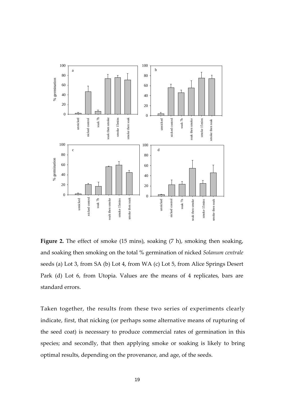

**Figure 2.** The effect of smoke (15 mins), soaking (7 h), smoking then soaking, and soaking then smoking on the total % germination of nicked *Solanum centrale* seeds (a) Lot 3, from SA (b) Lot 4, from WA (c) Lot 5, from Alice Springs Desert Park (d) Lot 6, from Utopia. Values are the means of 4 replicates, bars are standard errors.

Taken together, the results from these two series of experiments clearly indicate, first, that nicking (or perhaps some alternative means of rupturing of the seed coat) is necessary to produce commercial rates of germination in this species; and secondly, that then applying smoke or soaking is likely to bring optimal results, depending on the provenance, and age, of the seeds.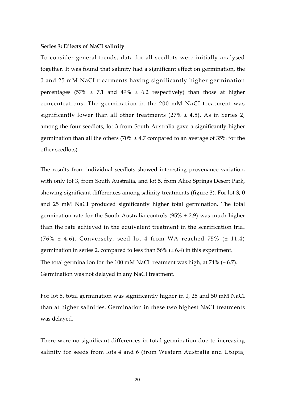#### **Series 3: Effects of NaCI salinity**

To consider general trends, data for all seedlots were initially analysed together. It was found that salinity had a significant effect on germination, the 0 and 25 mM NaCI treatments having significantly higher germination percentages (57%  $\pm$  7.1 and 49%  $\pm$  6.2 respectively) than those at higher concentrations. The germination in the 200 mM NaCI treatment was significantly lower than all other treatments ( $27\% \pm 4.5$ ). As in Series 2, among the four seedlots, lot 3 from South Australia gave a significantly higher germination than all the others  $(70\% \pm 4.7 \text{ compared to an average of } 35\% \text{ for the }$ other seedlots).

The results from individual seedlots showed interesting provenance variation, with only lot 3, from South Australia, and lot 5, from Alice Springs Desert Park, showing significant differences among salinity treatments (figure 3). For lot 3, 0 and 25 mM NaCI produced significantly higher total germination. The total germination rate for the South Australia controls  $(95\% \pm 2.9)$  was much higher than the rate achieved in the equivalent treatment in the scarification trial  $(76\% \pm 4.6)$ . Conversely, seed lot 4 from WA reached 75% ( $\pm$  11.4) germination in series 2, compared to less than  $56\%$  ( $\pm$  6.4) in this experiment. The total germination for the 100 mM NaCI treatment was high, at 74%  $(\pm 6.7)$ . Germination was not delayed in any NaCI treatment.

For lot 5, total germination was significantly higher in 0, 25 and 50 mM NaCI than at higher salinities. Germination in these two highest NaCI treatments was delayed.

There were no significant differences in total germination due to increasing salinity for seeds from lots 4 and 6 (from Western Australia and Utopia,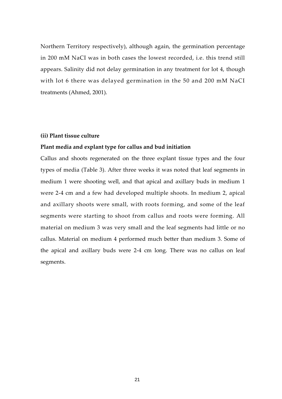Northern Territory respectively), although again, the germination percentage in 200 mM NaCI was in both cases the lowest recorded, i.e. this trend still appears. Salinity did not delay germination in any treatment for lot 4, though with lot 6 there was delayed germination in the 50 and 200 mM NaCI treatments (Ahmed, 2001).

#### **(ii) Plant tissue culture**

#### **Plant media and explant type for callus and bud initiation**

Callus and shoots regenerated on the three explant tissue types and the four types of media (Table 3). After three weeks it was noted that leaf segments in medium 1 were shooting well, and that apical and axillary buds in medium 1 were 2‐4 cm and a few had developed multiple shoots. In medium 2, apical and axillary shoots were small, with roots forming, and some of the leaf segments were starting to shoot from callus and roots were forming. All material on medium 3 was very small and the leaf segments had little or no callus. Material on medium 4 performed much better than medium 3. Some of the apical and axillary buds were 2‐4 cm long. There was no callus on leaf segments.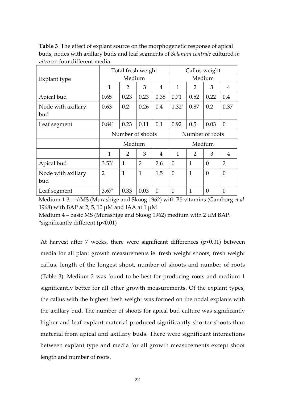**Table 3** The effect of explant source on the morphogenetic response of apical buds, nodes with axillary buds and leaf segments of *Solanum centrale* cultured *in vitro* on four different media.

|                           | Total fresh weight |                |      |          | Callus weight   |                |                |                |
|---------------------------|--------------------|----------------|------|----------|-----------------|----------------|----------------|----------------|
| Explant type              | Medium             |                |      |          | Medium          |                |                |                |
|                           | $\mathbf{1}$       | $\overline{2}$ | 3    | 4        | $\mathbf{1}$    | $\overline{2}$ | 3              | 4              |
| Apical bud                | 0.65               | 0.23           | 0.23 | 0.38     | 0.71            | 0.52           | 0.22           | 0.4            |
| Node with axillary<br>bud | 0.63               | 0.2            | 0.26 | 0.4      | $1.32*$         | 0.87           | 0.2            | 0.37           |
| Leaf segment              | $0.84*$            | 0.23           | 0.11 | 0.1      | 0.92            | 0.5            | 0.03           | $\theta$       |
|                           | Number of shoots   |                |      |          | Number of roots |                |                |                |
|                           | Medium             |                |      |          | Medium          |                |                |                |
|                           | $\mathbf{1}$       | 2              | 3    | 4        | $\mathbf{1}$    | 2              | 3              | $\overline{4}$ |
| Apical bud                | $3.53*$            | 1              | 2    | 2.6      | $\Omega$        | 1              | $\theta$       | $\overline{2}$ |
| Node with axillary<br>bud | $\overline{2}$     | $\mathbf{1}$   | 1    | 1.5      | $\theta$        | 1              | $\overline{0}$ | $\theta$       |
| Leaf segment              | $3.67*$            | 0.33           | 0.03 | $\theta$ | $\theta$        | 1              | $\overline{0}$ | $\theta$       |

Medium 1‐3 – 1/2MS (Murashige and Skoog 1962) with B5 vitamins (Gamborg *et al* 1968) with BAP at 2, 5, 10 μM and IAA at 1 μM

Medium 4 – basic MS (Murashige and Skoog 1962) medium with 2 μM BAP. \*significantly different (p<0.01)

At harvest after 7 weeks, there were significant differences (p<0.01) between media for all plant growth measurements ie. fresh weight shoots, fresh weight callus, length of the longest shoot, number of shoots and number of roots (Table 3). Medium 2 was found to be best for producing roots and medium 1 significantly better for all other growth measurements. Of the explant types, the callus with the highest fresh weight was formed on the nodal explants with the axillary bud. The number of shoots for apical bud culture was significantly higher and leaf explant material produced significantly shorter shoots than material from apical and axillary buds. There were significant interactions between explant type and media for all growth measurements except shoot length and number of roots.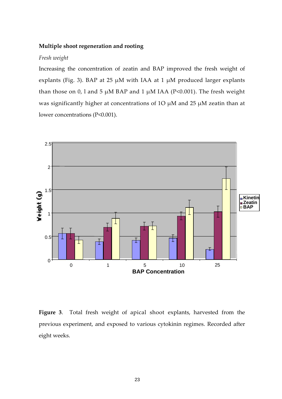#### **Multiple shoot regeneration and rooting**

#### *Fresh weight*

Increasing the concentration of zeatin and BAP improved the fresh weight of explants (Fig. 3). BAP at 25  $\mu$ M with IAA at 1  $\mu$ M produced larger explants than those on 0, l and 5  $\mu$ M BAP and 1  $\mu$ M IAA (P<0.001). The fresh weight was significantly higher at concentrations of 1O μM and 25 μM zeatin than at lower concentrations (P<0.001).



Figure 3. Total fresh weight of apical shoot explants, harvested from the previous experiment, and exposed to various cytokinin regimes. Recorded after eight weeks.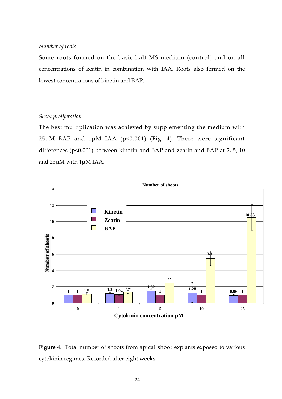#### *Number of roots*

Some roots formed on the basic half MS medium (control) and on all concentrations of zeatin in combination with IAA. Roots also formed on the lowest concentrations of kinetin and BAP.

#### *Shoot proliferation*

The best multiplication was achieved by supplementing the medium with  $25\mu$ M BAP and  $1\mu$ M IAA (p<0.001) (Fig. 4). There were significant differences (p<0.001) between kinetin and BAP and zeatin and BAP at 2, 5, 10 and 25μM with 1μM IAA.



**Figure 4**. Total number of shoots from apical shoot explants exposed to various cytokinin regimes. Recorded after eight weeks.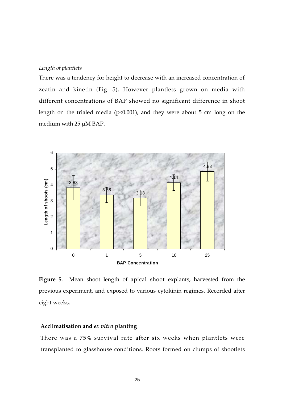#### *Length of plantlets*

There was a tendency for height to decrease with an increased concentration of zeatin and kinetin (Fig. 5). However plantlets grown on media with different concentrations of BAP showed no significant difference in shoot length on the trialed media (p<0.001), and they were about 5 cm long on the medium with 25 μM BAP.



Figure 5. Mean shoot length of apical shoot explants, harvested from the previous experiment, and exposed to various cytokinin regimes. Recorded after eight weeks.

#### **Acclimatisation and** *ex vitro* **planting**

There was a 75% survival rate after six weeks when plantlets were transplanted to glasshouse conditions. Roots formed on clumps of shootlets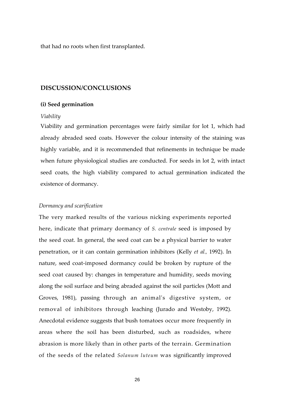that had no roots when first transplanted.

#### **DISCUSSION/CONCLUSIONS**

#### **(i) Seed germination**

#### *Viability*

Viability and germination percentages were fairly similar for lot 1, which had already abraded seed coats. However the colour intensity of the staining was highly variable, and it is recommended that refinements in technique be made when future physiological studies are conducted. For seeds in lot 2, with intact seed coats, the high viability compared to actual germination indicated the existence of dormancy.

#### *Dormancy and scarification*

The very marked results of the various nicking experiments reported here, indicate that primary dormancy of *S. centrale* seed is imposed by the seed coat. In general, the seed coat can be a physical barrier to water penetration, or it can contain germination inhibitors (Kelly *et al.,* 1992). In nature, seed coat-imposed dormancy could be broken by rupture of the seed coat caused by: changes in temperature and humidity, seeds moving along the soil surface and being abraded against the soil particles (Mott and Groves, 1981), passing through an animalʹs digestive system, or removal of inhibitors through leaching (Jurado and Westoby, 1992). Anecdotal evidence suggests that bush tomatoes occur more frequently in areas where the soil has been disturbed, such as roadsides, where abrasion is more likely than in other parts of the terrain. Germination of the seeds of the related *Solanum luteum* was significantly improved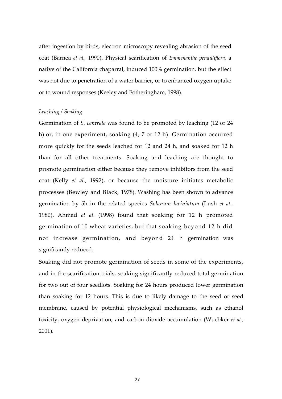after ingestion by birds, electron microscopy revealing abrasion of the seed coat (Barnea *et al.,* 1990). Physical scarification of *Emmenanthe penduliflora,* a native of the California chaparral, induced 100% germination, but the effect was not due to penetration of a water barrier, or to enhanced oxygen uptake or to wound responses (Keeley and Fotheringham, 1998).

#### *Leaching / Soaking*

Germination of *S. centrale* was found to be promoted by leaching (12 or 24 h) or, in one experiment, soaking (4, 7 or 12 h). Germination occurred more quickly for the seeds leached for 12 and 24 h, and soaked for 12 h than for all other treatments. Soaking and leaching are thought to promote germination either because they remove inhibitors from the seed coat (Kelly *et al.,* 1992), or because the moisture initiates metabolic processes (Bewley and Black, 1978). Washing has been shown to advance germination by 5h in the related species *Solanum laciniatum* (Lush *et al.,* 1980). Ahmad *et al.* (1998) found that soaking for 12 h promoted germination of 10 wheat varieties, but that soaking beyond 12 h did not increase germination, and beyond 21 h germination was significantly reduced.

Soaking did not promote germination of seeds in some of the experiments, and in the scarification trials, soaking significantly reduced total germination for two out of four seedlots. Soaking for 24 hours produced lower germination than soaking for 12 hours. This is due to likely damage to the seed or seed membrane, caused by potential physiological mechanisms, such as ethanol toxicity, oxygen deprivation, and carbon dioxide accumulation (Wuebker *et al.,* 2001).

27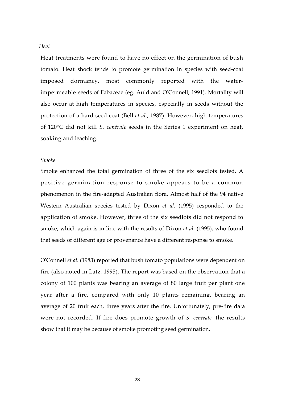#### *Heat*

Heat treatments were found to have no effect on the germination of bush tomato. Heat shock tends to promote germination in species with seed‐coat imposed dormancy, most commonly reported with the water‐ impermeable seeds of Fabaceae (eg. Auld and OʹConnell, 1991). Mortality will also occur at high temperatures in species, especially in seeds without the protection of a hard seed coat (Bell *et al.,* 1987). However, high temperatures of 120°C did not kill *S. centrale* seeds in the Series 1 experiment on heat, soaking and leaching.

#### *Smoke*

Smoke enhanced the total germination of three of the six seedlots tested. A positive germination response to smoke appears to be a common phenomenon in the fire‐adapted Australian flora. Almost half of the 94 native Western Australian species tested by Dixon *et al.* (1995) responded to the application of smoke. However, three of the six seedlots did not respond to smoke, which again is in line with the results of Dixon *et al.* (1995), who found that seeds of different age or provenance have a different response to smoke.

OʹConnell *et al.* (1983) reported that bush tomato populations were dependent on fire (also noted in Latz, 1995). The report was based on the observation that a colony of 100 plants was bearing an average of 80 large fruit per plant one year after a fire, compared with only 10 plants remaining, bearing an average of 20 fruit each, three years after the fire. Unfortunately, pre‐fire data were not recorded. If fire does promote growth of *S. centrale,* the results show that it may be because of smoke promoting seed germination.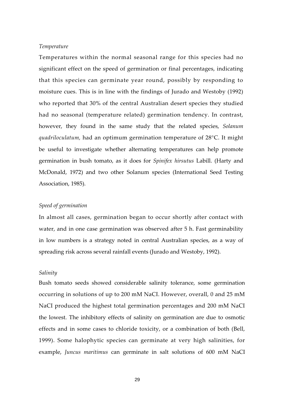#### *Temperature*

Temperatures within the normal seasonal range for this species had no significant effect on the speed of germination or final percentages, indicating that this species can germinate year round, possibly by responding to moisture cues. This is in line with the findings of Jurado and Westoby (1992) who reported that 30% of the central Australian desert species they studied had no seasonal (temperature related) germination tendency. In contrast, however, they found in the same study that the related species, *Solanum quadriloculatum,* had an optimum germination temperature of 28°C. It might be useful to investigate whether alternating temperatures can help promote germination in bush tomato, as it does for *Spinifex hirsutus* Labill. (Harty and McDonald, 1972) and two other Solanum species (International Seed Testing Association, 1985).

#### *Speed of germination*

In almost all cases, germination began to occur shortly after contact with water, and in one case germination was observed after 5 h. Fast germinability in low numbers is a strategy noted in central Australian species, as a way of spreading risk across several rainfall events (Jurado and Westoby, 1992).

#### *Salinity*

Bush tomato seeds showed considerable salinity tolerance, some germination occurring in solutions of up to 200 mM NaCI. However, overall, 0 and 25 mM NaCI produced the highest total germination percentages and 200 mM NaCI the lowest. The inhibitory effects of salinity on germination are due to osmotic effects and in some cases to chloride toxicity, or a combination of both (Bell, 1999). Some halophytic species can germinate at very high salinities, for example, *Juncus maritimus* can germinate in salt solutions of 600 mM NaCI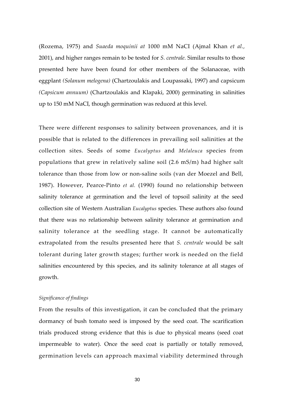(Rozema, 1975) and *Suaeda moquinii at* 1000 mM NaCI (Ajmal Khan *et al.,* 2001), and higher ranges remain to be tested for *S. centrale.* Similar results to those presented here have been found for other members of the Solanaceae, with eggplant *(Solanum melogena)* (Chartzoulakis and Loupassaki, 1997) and capsicum *(Capsicum annuum)* (Chartzoulakis and Klapaki, 2000) germinating in salinities up to 150 mM NaCI, though germination was reduced at this level.

There were different responses to salinity between provenances, and it is possible that is related to the differences in prevailing soil salinities at the collection sites. Seeds of some *Eucalyptus* and *Melaleuca* species from populations that grew in relatively saline soil (2.6 mS/m) had higher salt tolerance than those from low or non‐saline soils (van der Moezel and Bell, 1987). However, Pearce‐Pinto *et al.* (1990) found no relationship between salinity tolerance at germination and the level of topsoil salinity at the seed collection site of Western Australian *Eucalyptus* species. These authors also found that there was no relationship between salinity tolerance at germination and salinity tolerance at the seedling stage. It cannot be automatically extrapolated from the results presented here that *S. centrale* would be salt tolerant during later growth stages; further work is needed on the field salinities encountered by this species, and its salinity tolerance at all stages of growth.

#### *Significance of findings*

From the results of this investigation, it can be concluded that the primary dormancy of bush tomato seed is imposed by the seed coat. The scarification trials produced strong evidence that this is due to physical means (seed coat impermeable to water). Once the seed coat is partially or totally removed, germination levels can approach maximal viability determined through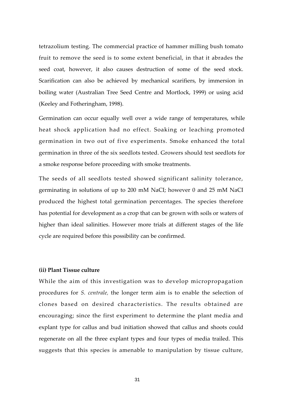tetrazolium testing. The commercial practice of hammer milling bush tomato fruit to remove the seed is to some extent beneficial, in that it abrades the seed coat, however, it also causes destruction of some of the seed stock. Scarification can also be achieved by mechanical scarifiers, by immersion in boiling water (Australian Tree Seed Centre and Mortlock, 1999) or using acid (Keeley and Fotheringham, 1998).

Germination can occur equally well over a wide range of temperatures, while heat shock application had no effect. Soaking or leaching promoted germination in two out of five experiments. Smoke enhanced the total germination in three of the six seedlots tested. Growers should test seedlots for a smoke response before proceeding with smoke treatments.

The seeds of all seedlots tested showed significant salinity tolerance, germinating in solutions of up to 200 mM NaCI; however 0 and 25 mM NaCI produced the highest total germination percentages. The species therefore has potential for development as a crop that can be grown with soils or waters of higher than ideal salinities. However more trials at different stages of the life cycle are required before this possibility can be confirmed.

#### **(ii) Plant Tissue culture**

While the aim of this investigation was to develop micropropagation procedures for *S. centrale,* the longer term aim is to enable the selection of clones based on desired characteristics. The results obtained are encouraging; since the first experiment to determine the plant media and explant type for callus and bud initiation showed that callus and shoots could regenerate on all the three explant types and four types of media trailed. This suggests that this species is amenable to manipulation by tissue culture,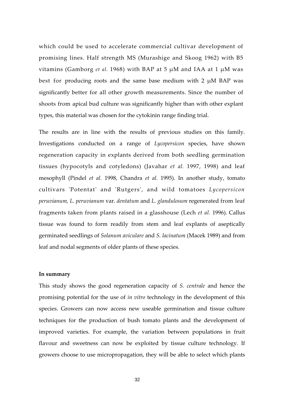which could be used to accelerate commercial cultivar development of promising lines. Half strength MS (Murashige and Skoog 1962) with B5 vitamins (Gamborg *et al.* 1968) with BAP at 5 μM and IAA at 1 μM was best for producing roots and the same base medium with 2 μM BAP was significantly better for all other growth measurements. Since the number of shoots from apical bud culture was significantly higher than with other explant types, this material was chosen for the cytokinin range finding trial.

The results are in line with the results of previous studies on this family. Investigations conducted on a range of *Lycopersicon* species, have shown regeneration capacity in explants derived from both seedling germination tissues (hypocotyls and cotyledons) (Javahar *et al.* 1997, 1998) and leaf mesophyll (Pindel *et al.* 1998, Chandra *et al.* 1995). In another study, tomato cultivars ʹPotentatʹ and ʹRutgersʹ, and wild tomatoes *Lycopersicon peruvianum, L. peruvianum* var. *dentatum* and *L. glandulosum* regenerated from leaf fragments taken from plants raised in a glasshouse (Lech *et al.* 1996). Callus tissue was found to form readily from stem and leaf explants of aseptically germinated seedlings of *Solanum aviculare* and *S. lacinatum* (Macek 1989) and from leaf and nodal segments of older plants of these species*.*

#### **In summary**

This study shows the good regeneration capacity of *S. centrale* and hence the promising potential for the use of *in vitro* technology in the development of this species. Growers can now access new useable germination and tissue culture techniques for the production of bush tomato plants and the development of improved varieties. For example, the variation between populations in fruit flavour and sweetness can now be exploited by tissue culture technology. If growers choose to use micropropagation, they will be able to select which plants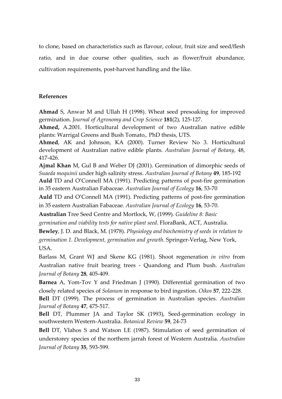to clone, based on characteristics such as flavour, colour, fruit size and seed/flesh ratio, and in due course other qualities, such as flower/fruit abundance, cultivation requirements, post‐harvest handling and the like.

#### **References**

**Ahmad** S, Anwar M and Ullah H (1998). Wheat seed presoaking for improved germination. *Journal of Agronomy and Crop Science* **181**(2), 125‐127.

**Ahmed,** A.2001. Horticultural development of two Australian native edible plants: Warrigal Greens and Bush Tomato,. PhD thesis, UTS.

**Ahmed**, AK and Johnson, KA (2000). Turner Review No 3. Horticultural development of Australian native edible plants. *Australian Journal of Botany*, 48, 417‐426.

**Ajmal Khan** M, Gul B and Weber DJ (2001). Germination of dimorphic seeds of *Suaeda moquinii* under high salinity stress. *Australian Journal of Botany* **49**, 185‐192 **Auld** TD and O'Connell MA (1991). Predicting patterns of post‐fire germination

in 35 eastern Australian Fabaceae. *Australian Journal of Ecology* **16**, 53‐70

**Auld** TD and O'Connell MA (1991). Predicting patterns of post‐fire germination in 35 eastern Australian Fabaceae. *Australian Journal of Ecology* **16**, 53‐70.

**Australian** Tree Seed Centre and Mortlock, W, (1999). *Guideline 8: Basic*

*germination and viability tests for native plant seed*. FloraBank, ACT, Australia.

**Bewley**, J. D. and Black, M. (1978). *Physiology and biochemistry of seeds in relation to germination 1. Development, germination and growth*. Springer‐Verlag, New York, USA.

Barlass M, Grant WJ and Skene KG (1981). Shoot regeneration *in vitro* from Australian native fruit bearing trees ‐ Quandong and Plum bush. *Australian Journal of Botany* **28**, 405‐409.

**Barnea** A, Yom-Tov Y and Friedman J (1990). Differential germination of two closely related species of *Solanum* in response to bird ingestion. *Oikos* **57**, 222‐228.

**Bell** DT (1999). The process of germination in Australian species. *Australian Journal of Botany* **47**, 475‐517.

**Bell** DT, Plummer JA and Taylor SK (1993), Seed‐germination ecology in southwestern Western‐Australia. *Botanical Review* **59**, 24‐73

**Bell** DT, Vlahos S and Watson LE (1987). Stimulation of seed germination of understorey species of the northern jarrah forest of Western Australia. *Australian Journal of Botany* **35**, 593‐599.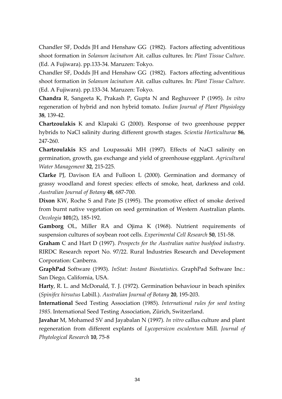Chandler SF, Dodds JH and Henshaw GG (1982). Factors affecting adventitious shoot formation in *Solanum lacinatum* Ait. callus cultures. In: *Plant Tissue Culture*. (Ed. A Fujiwara). pp.133‐34. Maruzen: Tokyo.

Chandler SF, Dodds JH and Henshaw GG (1982). Factors affecting adventitious shoot formation in *Solanum lacinatum* Ait. callus cultures. In: *Plant Tissue Culture*. (Ed. A Fujiwara). pp.133‐34. Maruzen: Tokyo.

**Chandra** R, Sangeeta K, Prakash P, Gupta N and Reghuveer P (1995). *In vitro* regeneration of hybrid and non hybrid tomato. *Indian Journal of Plant Physiology* **38**, 139‐42.

**Chartzoulakis** K and Klapaki G (2000). Response of two greenhouse pepper hybrids to NaCl salinity during different growth stages. *Scientia Horticulturae* **86**, 247‐260.

**Chartzoulakis** KS and Loupassaki MH (1997). Effects of NaCl salinity on germination, growth, gas exchange and yield of greenhouse eggplant. *Agricultural Water Management* **32**, 215‐225.

**Clarke** PJ, Davison EA and Fulloon L (2000). Germination and dormancy of grassy woodland and forest species: effects of smoke, heat, darkness and cold. *Australian Journal of Botany* **48**, 687‐700.

**Dixon** KW, Roche S and Pate JS (1995). The promotive effect of smoke derived from burnt native vegetation on seed germination of Western Australian plants. *Oecologia* **101**(2), 185‐192.

**Gamborg** OL, Miller RA and Ojima K (1968). Nutrient requirements of suspension cultures of soybean root cells. *Experimental Cell Research* **50**, 151‐58.

**Graham** C and Hart D (1997). *Prospects for the Australian native bushfood industry*. RIRDC Research report No. 97/22. Rural Industries Research and Development Corporation: Canberra.

**GraphPad** Software (1993). *InStat: Instant Biostatistics*. GraphPad Software Inc.: San Diego, California, USA.

**Harty**, R. L. and McDonald, T. J. (1972). Germination behaviour in beach spinifex (*Spinifex hirsutus* Labill.). *Australian Journal of Botany* **20**, 195‐203.

**International** Seed Testing Association (1985). *International rules for seed testing 1985*. International Seed Testing Association, Zürich, Switzerland.

**Javahar** M, Mohamed SV and Jayabalan N (1997)*. In vitro* callus culture and plant regeneration from different explants of *Lycopersicon esculentum* Mill. *Journal of Phytological Research* **10**, 75‐8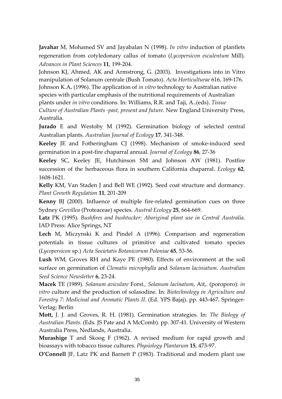**Javahar** M, Mohamed SV and Jayabalan N (1998). *In vitro* induction of plantlets regeneration from cotyledonary callus of tomato (*Lycopersicon esculentum* Mill). *Advances in Plant Sciences* **11**, 199‐204.

Johnson KJ, Ahmed, AK and Armstrong, G. (2003). Investigations into in Vitro manipulation of Solanum centrale (Bush Tomato). *Acta Horticulturae* 616, 169‐176. Johnson K.A**.** (1996). The application of *in vitro* technology to Australian native species with particular emphasis of the nutritional requirements of Australian plants under *in vitro* conditions. In: Williams, R.R. and Taji, A..(eds). *Tissue*

*Culture of Australian Plants ‐past, present and future.* New England University Press, Australia.

**Jurado** E and Westoby M (1992). Germination biology of selected central Australian plants. *Australian Journal of Ecology* **17**, 341‐348.

Keeley JE and Fotheringham CJ (1998). Mechanism of smoke-induced seed germination in a post‐fire chaparral annual. *Journal of Ecology* **86**, 27‐36

**Keeley** SC, Keeley JE, Hutchinson SM and Johnson AW (1981). Postfire succession of the herbaceous flora in southern California chaparral. *Ecology* **62**, 1608‐1621.

**Kelly** KM, Van Staden J and Bell WE (1992). Seed coat structure and dormancy. *Plant Growth Regulation* **11**, 201‐209

Kenny BJ (2000). Influence of multiple fire-related germination cues on three Sydney *Grevillea* (Proteaceae) species. *Austral Ecology* **25**, 664‐669.

**Latz** PK (1995). *Bushfires and bushtucker: Aboriginal plant use in Central Australia*. IAD Press: Alice Springs, NT

**Lech** M, Miczynski K and Pindel A (1996). Comparison and regeneration potentials in tissue cultures of primitive and cultivated tomato species (*Lycopersicon* sp.) *Acta Societatis Botanicorum Poloniae* **65**, 53‐56.

**Lush** WM, Groves RH and Kaye PE (1980). Effects of environment at the soil surface on germination of *Clematis microphylla* and *Solanum laciniatum*. *Australian Seed Science Newsletter* **6**, 23‐24.

**Macek** TE (1989). *Solanum aviculare* Forst*., Solanum lacinatum*, Ait,. (poroporo): *in vitro* culture and the production of solasodine. In: *Biotechnology in Agriculture and Forestry 7: Medicinal and Aromatic Plants II*. (Ed. YPS Bajaj). pp. 443‐467. Springer‐ Verlag: Berlin

**Mott,** J. J. and Groves, R. H. (1981). Germination strategies. In: *The Biology of Australian Plants*. (Eds. JS Pate and A McComb). pp. 307‐41. University of Western Australia Press, Nedlands, Australia.

**Murashige** T and Skoog F (1962). A revised medium for rapid growth and bioassays with tobacco tissue cultures. *Physiology Plantarum* **15**, 473‐97.

**O'Connell** JF, Latz PK and Barnett P (1983). Traditional and modern plant use